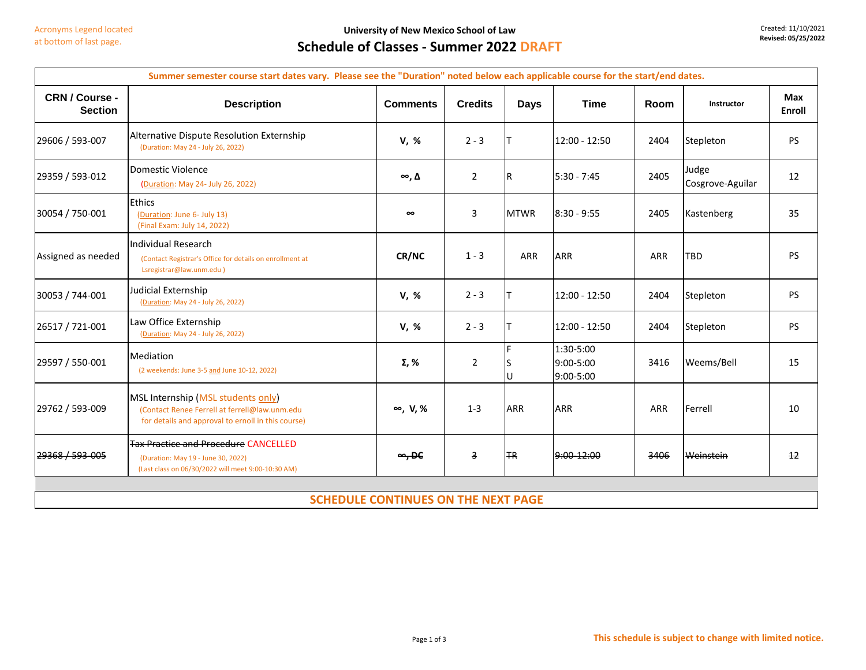$\blacksquare$ 

**University of New Mexico School of Law**

Created: 11/10/2021 **Revised: 05/25/2022**

 $\overline{\phantom{0}}$ 

## **Schedule of Classes - Summer 2022 DRAFT**

| <b>Description</b>                                                                                                                        |                    |                |             |                                            |      |                           |                 |
|-------------------------------------------------------------------------------------------------------------------------------------------|--------------------|----------------|-------------|--------------------------------------------|------|---------------------------|-----------------|
|                                                                                                                                           | <b>Comments</b>    | <b>Credits</b> | <b>Days</b> | <b>Time</b>                                | Room | Instructor                | Max<br>Enroll   |
| Alternative Dispute Resolution Externship<br>(Duration: May 24 - July 26, 2022)                                                           | V, %               | $2 - 3$        |             | 12:00 - 12:50                              | 2404 | Stepleton                 | <b>PS</b>       |
| Domestic Violence<br>(Duration: May 24- July 26, 2022)                                                                                    | $\infty, \Delta$   | $\overline{2}$ | IR          | $5:30 - 7:45$                              | 2405 | Judge<br>Cosgrove-Aguilar | 12              |
| <b>Ethics</b><br>(Duration: June 6- July 13)<br>(Final Exam: July 14, 2022)                                                               | $\infty$           | 3              | <b>MTWR</b> | $8:30 - 9:55$                              | 2405 | Kastenberg                | 35              |
| Individual Research<br>(Contact Registrar's Office for details on enrollment at<br>Lsregistrar@law.unm.edu)                               | CR/NC              | $1 - 3$        | <b>ARR</b>  | ARR                                        | ARR  | <b>TBD</b>                | <b>PS</b>       |
| Judicial Externship<br>(Duration: May 24 - July 26, 2022)                                                                                 | V, %               | $2 - 3$        |             | 12:00 - 12:50                              | 2404 | Stepleton                 | <b>PS</b>       |
| Law Office Externship<br>(Duration: May 24 - July 26, 2022)                                                                               | V, %               | $2 - 3$        |             | 12:00 - 12:50                              | 2404 | Stepleton                 | <b>PS</b>       |
| <b>Mediation</b><br>(2 weekends: June 3-5 and June 10-12, 2022)                                                                           | Σ, %               | $\overline{2}$ |             | 1:30-5:00<br>9:00-5:00<br>$9:00 - 5:00$    | 3416 | Weems/Bell                | 15              |
| MSL Internship (MSL students only)<br>(Contact Renee Ferrell at ferrell@law.unm.edu<br>for details and approval to ernoll in this course) | $\infty$ , V, %    | $1 - 3$        | <b>ARR</b>  | <b>ARR</b>                                 | ARR  | Ferrell                   | 10              |
| <b>Tax Practice and Procedure CANCELLED</b><br>(Duration: May 19 - June 30, 2022)<br>(Last class on 06/30/2022 will meet 9:00-10:30 AM)   | $\rightarrow$ , DC | 3              | <b>HR</b>   | $9:00-12:00$                               | 3406 | Weinstein                 | $\overline{12}$ |
|                                                                                                                                           |                    |                |             |                                            |      |                           |                 |
|                                                                                                                                           |                    |                |             | <b>SCHEDULE CONTINUES ON THE NEXT PAGE</b> |      |                           |                 |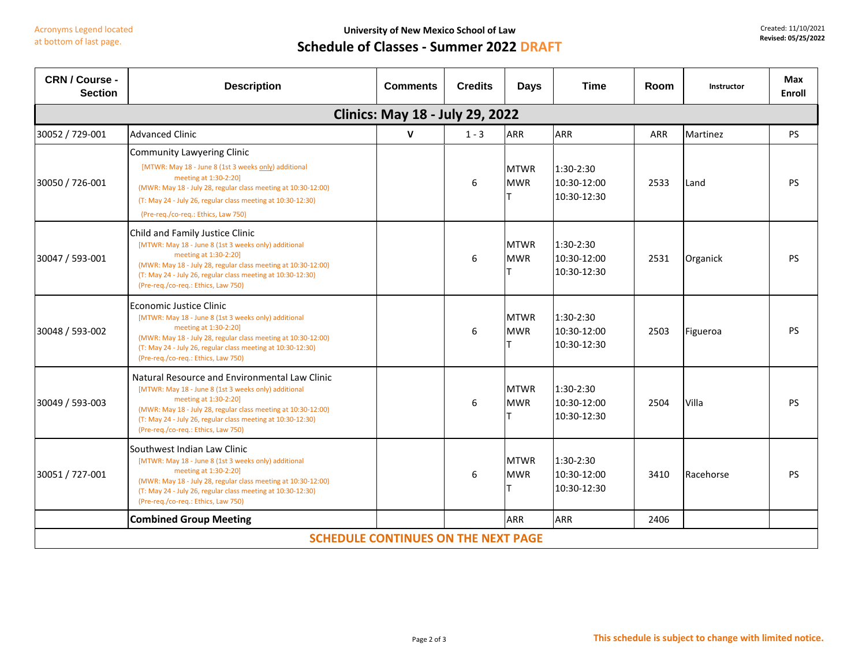## **Schedule of Classes - Summer 2022 DRAFT**

| CRN / Course -<br><b>Section</b>           | <b>Description</b>                                                                                                                                                                                                                                                                                    | <b>Comments</b> | <b>Credits</b> | <b>Days</b>               | <b>Time</b>                               | Room | Instructor | Max<br><b>Enroll</b> |
|--------------------------------------------|-------------------------------------------------------------------------------------------------------------------------------------------------------------------------------------------------------------------------------------------------------------------------------------------------------|-----------------|----------------|---------------------------|-------------------------------------------|------|------------|----------------------|
| <b>Clinics: May 18 - July 29, 2022</b>     |                                                                                                                                                                                                                                                                                                       |                 |                |                           |                                           |      |            |                      |
| 30052 / 729-001                            | <b>Advanced Clinic</b>                                                                                                                                                                                                                                                                                | $\mathbf v$     | $1 - 3$        | <b>ARR</b>                | <b>ARR</b>                                | ARR  | Martinez   | <b>PS</b>            |
| 30050 / 726-001                            | <b>Community Lawyering Clinic</b><br>[MTWR: May 18 - June 8 (1st 3 weeks only) additional<br>meeting at 1:30-2:20]<br>(MWR: May 18 - July 28, regular class meeting at 10:30-12:00)<br>(T: May 24 - July 26, regular class meeting at 10:30-12:30)<br>(Pre-req./co-req.: Ethics, Law 750)             |                 | 6              | <b>MTWR</b><br><b>MWR</b> | 1:30-2:30<br>10:30-12:00<br>10:30-12:30   | 2533 | Land       | <b>PS</b>            |
| 30047 / 593-001                            | Child and Family Justice Clinic<br>[MTWR: May 18 - June 8 (1st 3 weeks only) additional<br>meeting at 1:30-2:20]<br>(MWR: May 18 - July 28, regular class meeting at 10:30-12:00)<br>(T: May 24 - July 26, regular class meeting at 10:30-12:30)<br>(Pre-req./co-req.: Ethics, Law 750)               |                 | 6              | <b>MTWR</b><br><b>MWR</b> | $1:30-2:30$<br>10:30-12:00<br>10:30-12:30 | 2531 | Organick   | <b>PS</b>            |
| 30048 / 593-002                            | Economic Justice Clinic<br>[MTWR: May 18 - June 8 (1st 3 weeks only) additional<br>meeting at 1:30-2:20]<br>(MWR: May 18 - July 28, regular class meeting at 10:30-12:00)<br>(T: May 24 - July 26, regular class meeting at 10:30-12:30)<br>(Pre-reg./co-reg.: Ethics, Law 750)                       |                 | 6              | <b>MTWR</b><br><b>MWR</b> | 1:30-2:30<br>10:30-12:00<br>10:30-12:30   | 2503 | Figueroa   | <b>PS</b>            |
| 30049 / 593-003                            | Natural Resource and Environmental Law Clinic<br>[MTWR: May 18 - June 8 (1st 3 weeks only) additional<br>meeting at 1:30-2:20]<br>(MWR: May 18 - July 28, regular class meeting at 10:30-12:00)<br>(T: May 24 - July 26, regular class meeting at 10:30-12:30)<br>(Pre-req./co-req.: Ethics, Law 750) |                 | 6              | <b>MTWR</b><br><b>MWR</b> | 1:30-2:30<br>10:30-12:00<br>10:30-12:30   | 2504 | Villa      | <b>PS</b>            |
| 30051 / 727-001                            | Southwest Indian Law Clinic<br>[MTWR: May 18 - June 8 (1st 3 weeks only) additional<br>meeting at 1:30-2:20]<br>(MWR: May 18 - July 28, regular class meeting at 10:30-12:00)<br>(T: May 24 - July 26, regular class meeting at 10:30-12:30)<br>(Pre-reg./co-reg.: Ethics, Law 750)                   |                 | 6              | <b>MTWR</b><br><b>MWR</b> | 1:30-2:30<br>10:30-12:00<br>10:30-12:30   | 3410 | Racehorse  | <b>PS</b>            |
|                                            | <b>Combined Group Meeting</b>                                                                                                                                                                                                                                                                         |                 |                | <b>ARR</b>                | <b>ARR</b>                                | 2406 |            |                      |
| <b>SCHEDULE CONTINUES ON THE NEXT PAGE</b> |                                                                                                                                                                                                                                                                                                       |                 |                |                           |                                           |      |            |                      |